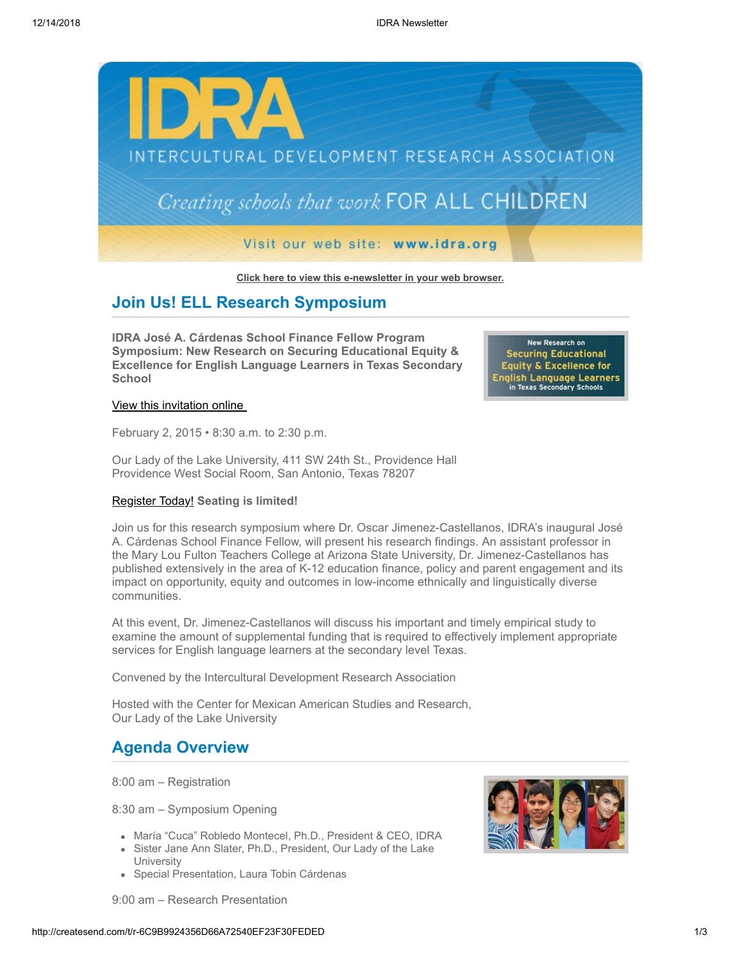

**[Click here to view this e-newsletter in your web browser.](http://newsletter.impulsedevelopment.com/t/r-e-cuhlhdd-l-r/)**

## **Join Us! ELL Research Symposium**

**IDRA José A. Cárdenas School Finance Fellow Program Symposium: New Research on Securing Educational Equity & Excellence for English Language Learners in Texas Secondary School**

#### [View this invitation online](http://idra.createsend1.com/t/r-l-cuhlhdd-l-i/)

February 2, 2015 • 8:30 a.m. to 2:30 p.m.

Our Lady of the Lake University, 411 SW 24th St., Providence Hall Providence West Social Room, San Antonio, Texas 78207

### [Register Today!](http://idra.createsend1.com/t/r-l-cuhlhdd-l-d/) **Seating is limited!**

Join us for this research symposium where Dr. Oscar Jimenez-Castellanos, IDRA's inaugural José A. Cárdenas School Finance Fellow, will present his research findings. An assistant professor in the Mary Lou Fulton Teachers College at Arizona State University, Dr. Jimenez-Castellanos has published extensively in the area of K-12 education finance, policy and parent engagement and its impact on opportunity, equity and outcomes in low-income ethnically and linguistically diverse communities.

At this event, Dr. Jimenez-Castellanos will discuss his important and timely empirical study to examine the amount of supplemental funding that is required to effectively implement appropriate services for English language learners at the secondary level Texas.

Convened by the Intercultural Development Research Association

Hosted with the Center for Mexican American Studies and Research, Our Lady of the Lake University

## **Agenda Overview**

8:00 am – Registration

8:30 am – Symposium Opening

- María "Cuca" Robledo Montecel, Ph.D., President & CEO, IDRA
- Sister Jane Ann Slater, Ph.D., President, Our Lady of the Lake **University**
- Special Presentation, Laura Tobin Cárdenas



New Research on **Securing Educational Equity & Excellence for** English Language Learners<br>in Texas Secondary Schools

9:00 am – Research Presentation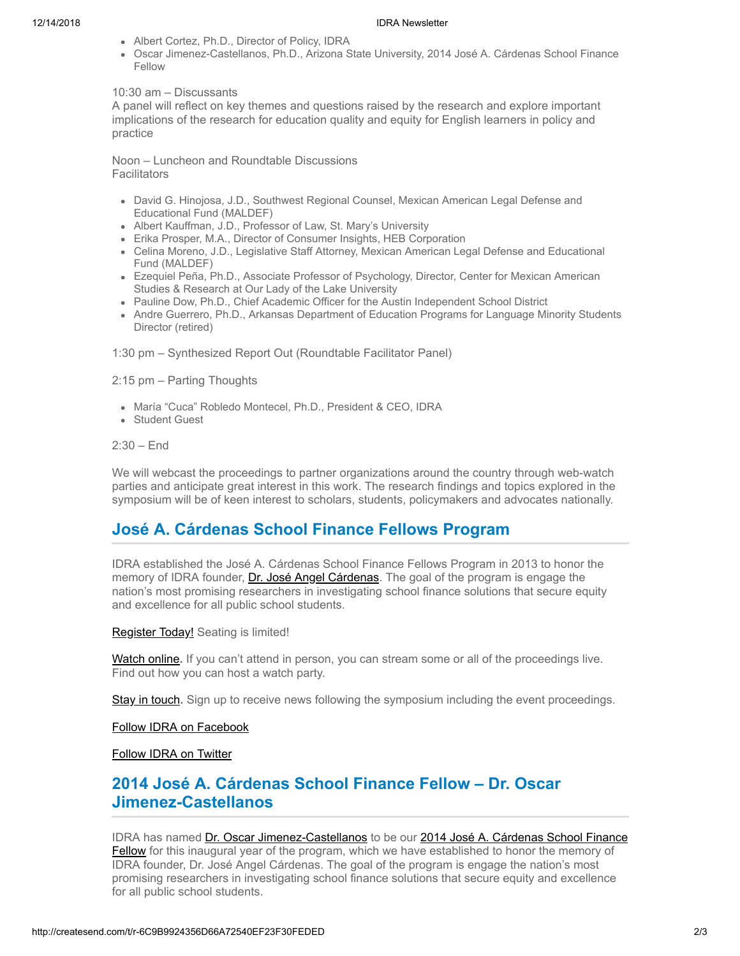#### 12/14/2018 IDRA Newsletter

- Albert Cortez, Ph.D., Director of Policy, IDRA
- Oscar Jimenez-Castellanos, Ph.D., Arizona State University, 2014 José A. Cárdenas School Finance Fellow

### 10:30 am – Discussants

A panel will reflect on key themes and questions raised by the research and explore important implications of the research for education quality and equity for English learners in policy and practice

Noon – Luncheon and Roundtable Discussions **Facilitators** 

- David G. Hinojosa, J.D., Southwest Regional Counsel, Mexican American Legal Defense and Educational Fund (MALDEF)
- Albert Kauffman, J.D., Professor of Law, St. Mary's University
- Erika Prosper, M.A., Director of Consumer Insights, HEB Corporation
- Celina Moreno, J.D., Legislative Staff Attorney, Mexican American Legal Defense and Educational Fund (MALDEF)
- Ezequiel Peña, Ph.D., Associate Professor of Psychology, Director, Center for Mexican American Studies & Research at Our Lady of the Lake University
- Pauline Dow, Ph.D., Chief Academic Officer for the Austin Independent School District
- Andre Guerrero, Ph.D., Arkansas Department of Education Programs for Language Minority Students Director (retired)

1:30 pm – Synthesized Report Out (Roundtable Facilitator Panel)

2:15 pm – Parting Thoughts

- María "Cuca" Robledo Montecel, Ph.D., President & CEO, IDRA
- Student Guest

2:30 – End

We will webcast the proceedings to partner organizations around the country through web-watch parties and anticipate great interest in this work. The research findings and topics explored in the symposium will be of keen interest to scholars, students, policymakers and advocates nationally.

# **José A. Cárdenas School Finance Fellows Program**

IDRA established the José A. Cárdenas School Finance Fellows Program in 2013 to honor the memory of IDRA founder, [Dr. José Angel Cárdenas.](http://idra.createsend1.com/t/r-l-cuhlhdd-l-o/) The goal of the program is engage the nation's most promising researchers in investigating school finance solutions that secure equity and excellence for all public school students.

[Register Today!](http://idra.createsend1.com/t/r-l-cuhlhdd-l-b/) Seating is limited!

[Watch online](http://idra.createsend1.com/t/r-l-cuhlhdd-l-n/)**.** If you can't attend in person, you can stream some or all of the proceedings live. Find out how you can host a watch party.

[Stay in touch](http://idra.createsend1.com/t/r-l-cuhlhdd-l-p/)**.** Sign up to receive news following the symposium including the event proceedings.

[Follow IDRA on Facebook](http://idra.createsend1.com/t/r-l-cuhlhdd-l-x/)

[Follow IDRA on Twitter](http://idra.createsend1.com/t/r-l-cuhlhdd-l-m/)

# **2014 José A. Cárdenas School Finance Fellow – Dr. Oscar Jimenez-Castellanos**

[IDRA has named Dr. Oscar Jimenez-Castellanos to be our 2014 José A. Cárdenas School Finance](http://idra.createsend1.com/t/r-l-cuhlhdd-l-q/) **Fellow** for this inaugural year of the program, which we have established to honor the memory of IDRA founder, Dr. José Angel Cárdenas. The goal of the program is engage the nation's most promising researchers in investigating school finance solutions that secure equity and excellence for all public school students.